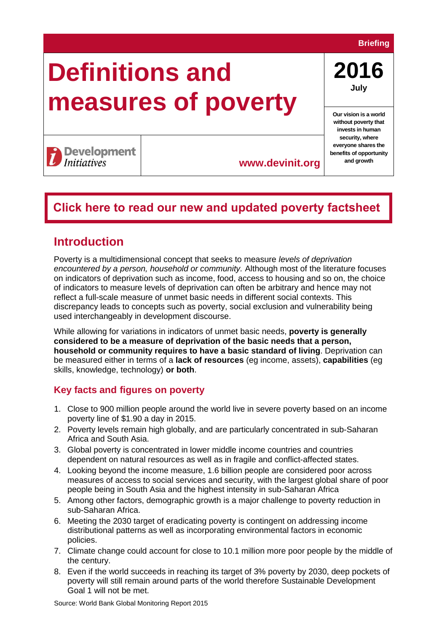### **Briefing**

# **Definitions and measures of poverty**

**2016 July**

**Our vision is a world without poverty that invests in human security, where everyone shares the benefits of opportunity** 

# **Development**<br>Initiatives

**www.devinit.org and growth**

## **[Click here to read our new and updated poverty factsheet](https://devinit.org/resources/poverty-trends-global-regional-and-national/)**

## **Introduction**

Poverty is a multidimensional concept that seeks to measure *levels of deprivation encountered by a person, household or community.* Although most of the literature focuses on indicators of deprivation such as income, food, access to housing and so on, the choice of indicators to measure levels of deprivation can often be arbitrary and hence may not reflect a full-scale measure of unmet basic needs in different social contexts. This discrepancy leads to concepts such as poverty, social exclusion and vulnerability being used interchangeably in development discourse.

While allowing for variations in indicators of unmet basic needs, **poverty is generally considered to be a measure of deprivation of the basic needs that a person, household or community requires to have a basic standard of living**. Deprivation can be measured either in terms of a **lack of resources** (eg income, assets), **capabilities** (eg skills, knowledge, technology) **or both**.

## **Key facts and figures on poverty**

- 1. Close to 900 million people around the world live in severe poverty based on an income poverty line of \$1.90 a day in 2015.
- 2. Poverty levels remain high globally, and are particularly concentrated in sub-Saharan Africa and South Asia.
- 3. Global poverty is concentrated in lower middle income countries and countries dependent on natural resources as well as in fragile and conflict-affected states.
- 4. Looking beyond the income measure, 1.6 billion people are considered poor across measures of access to social services and security, with the largest global share of poor people being in South Asia and the highest intensity in sub-Saharan Africa
- 5. Among other factors, demographic growth is a major challenge to poverty reduction in sub-Saharan Africa.
- 6. Meeting the 2030 target of eradicating poverty is contingent on addressing income distributional patterns as well as incorporating environmental factors in economic policies.
- 7. Climate change could account for close to 10.1 million more poor people by the middle of the century.
- 8. Even if the world succeeds in reaching its target of 3% poverty by 2030, deep pockets of poverty will still remain around parts of the world therefore Sustainable Development Goal 1 will not be met.

Source: World Bank Global Monitoring Report 2015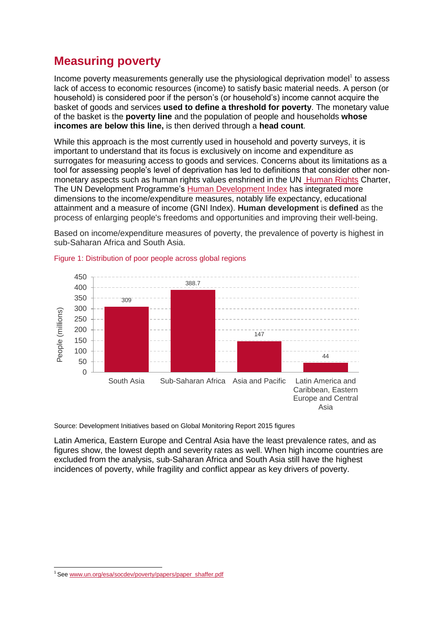## **Measuring poverty**

Income poverty measurements generally use the physiological deprivation model<sup>1</sup> to assess lack of access to economic resources (income) to satisfy basic material needs. A person (or household) is considered poor if the person's (or household's) income cannot acquire the basket of goods and services **used to define a threshold for poverty**. The monetary value of the basket is the **poverty line** and the population of people and households **whose incomes are below this line,** is then derived through a **head count**.

While this approach is the most currently used in household and poverty surveys, it is important to understand that its focus is exclusively on income and expenditure as surrogates for measuring access to goods and services. Concerns about its limitations as a tool for assessing people's level of deprivation has led to definitions that consider other nonmonetary aspects such as human rights values enshrined in the UN [Human Rights](http://www.ohchr.org/Documents/Publications/OHCHR_ExtremePovertyandHumanRights_EN.pdf) Charter, The UN Development Programme's [Human Development Index](http://hdr.undp.org/en/content/human-development-index-hdi) has integrated more dimensions to the income/expenditure measures, notably life expectancy, educational attainment and a measure of income (GNI Index). **Human development** is **defined** as the process of enlarging people's freedoms and opportunities and improving their well-being.

450 388.7 400 350 309 300 People (millions) People (millions)250 200 147 150 100 44 50  $\Omega$ South Asia Sub-Saharan Africa Asia and Pacific Latin America and Caribbean, Eastern Europe and Central Asia

Based on income/expenditure measures of poverty, the prevalence of poverty is highest in sub-Saharan Africa and South Asia.

Source: Development Initiatives based on Global Monitoring Report 2015 figures

Latin America, Eastern Europe and Central Asia have the least prevalence rates, and as figures show, the lowest depth and severity rates as well. When high income countries are excluded from the analysis, sub-Saharan Africa and South Asia still have the highest incidences of poverty, while fragility and conflict appear as key drivers of poverty.

-

#### Figure 1: Distribution of poor people across global regions

<sup>1</sup> Se[e www.un.org/esa/socdev/poverty/papers/paper\\_shaffer.pdf](http://www.un.org/esa/socdev/poverty/papers/paper_shaffer.pdf)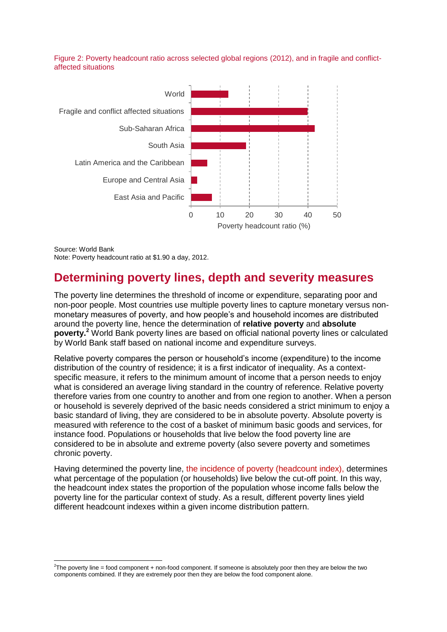#### Figure 2: Poverty headcount ratio across selected global regions (2012), and in fragile and conflictaffected situations



Source: World Bank Note: Poverty headcount ratio at \$1.90 a day, 2012.

## **Determining poverty lines, depth and severity measures**

The poverty line determines the threshold of income or expenditure, separating poor and non-poor people. Most countries use multiple poverty lines to capture monetary versus nonmonetary measures of poverty, and how people's and household incomes are distributed around the poverty line, hence the determination of **relative poverty** and **absolute poverty. <sup>2</sup>** World Bank poverty lines are based on official national poverty lines or calculated by World Bank staff based on national income and expenditure surveys.

Relative poverty compares the person or household's income (expenditure) to the income distribution of the country of residence; it is a first indicator of inequality. As a contextspecific measure, it refers to the minimum amount of income that a person needs to enjoy what is considered an average living standard in the country of reference. Relative poverty therefore varies from one country to another and from one region to another. When a person or household is severely deprived of the basic needs considered a strict minimum to enjoy a basic standard of living, they are considered to be in absolute poverty. Absolute poverty is measured with reference to the cost of a basket of minimum basic goods and services, for instance food. Populations or households that live below the food poverty line are considered to be in absolute and extreme poverty (also severe poverty and sometimes chronic poverty.

Having determined the poverty line, the incidence of poverty (headcount index), determines what percentage of the population (or households) live below the cut-off point. In this way, the headcount index states the proportion of the population whose income falls below the poverty line for the particular context of study. As a result, different poverty lines yield different headcount indexes within a given income distribution pattern.

<sup>-</sup> ${}^{2}$ The poverty line = food component + non-food component. If someone is absolutely poor then they are below the two components combined. If they are extremely poor then they are below the food component alone.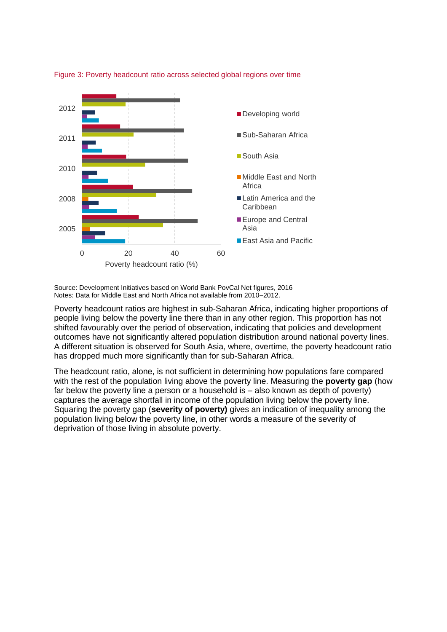

Figure 3: Poverty headcount ratio across selected global regions over time

Source: Development Initiatives based on World Bank PovCal Net figures, 2016 Notes: Data for Middle East and North Africa not available from 2010–2012.

Poverty headcount ratios are highest in sub-Saharan Africa, indicating higher proportions of people living below the poverty line there than in any other region. This proportion has not shifted favourably over the period of observation, indicating that policies and development outcomes have not significantly altered population distribution around national poverty lines. A different situation is observed for South Asia, where, overtime, the poverty headcount ratio has dropped much more significantly than for sub-Saharan Africa.

The headcount ratio, alone, is not sufficient in determining how populations fare compared with the rest of the population living above the poverty line. Measuring the **poverty gap** (how far below the poverty line a person or a household is – also known as depth of poverty) captures the average shortfall in income of the population living below the poverty line. Squaring the poverty gap (**severity of poverty)** gives an indication of inequality among the population living below the poverty line, in other words a measure of the severity of deprivation of those living in absolute poverty.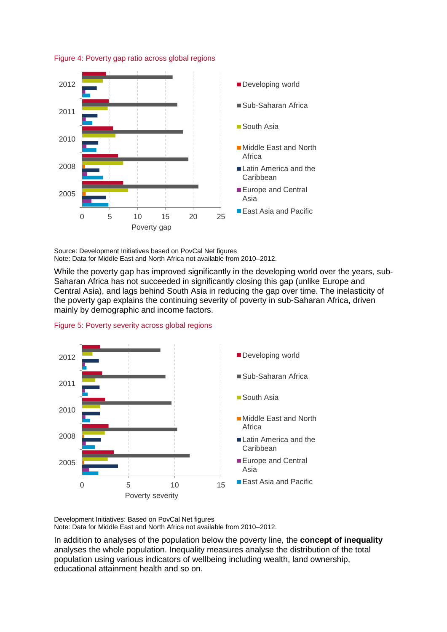

Figure 4: Poverty gap ratio across global regions

Source: Development Initiatives based on PovCal Net figures Note: Data for Middle East and North Africa not available from 2010–2012.

While the poverty gap has improved significantly in the developing world over the years, sub-Saharan Africa has not succeeded in significantly closing this gap (unlike Europe and Central Asia), and lags behind South Asia in reducing the gap over time. The inelasticity of the poverty gap explains the continuing severity of poverty in sub-Saharan Africa, driven mainly by demographic and income factors.





Development Initiatives: Based on PovCal Net figures Note: Data for Middle East and North Africa not available from 2010–2012.

In addition to analyses of the population below the poverty line, the **concept of inequality** analyses the whole population. Inequality measures analyse the distribution of the total population using various indicators of wellbeing including wealth, land ownership, educational attainment health and so on.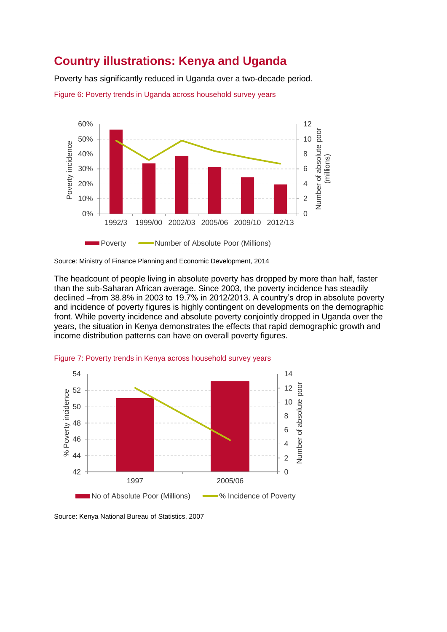## **Country illustrations: Kenya and Uganda**

Poverty has significantly reduced in Uganda over a two-decade period.

Figure 6: Poverty trends in Uganda across household survey years



Source: Ministry of Finance Planning and Economic Development, 2014

The headcount of people living in absolute poverty has dropped by more than half, faster than the sub-Saharan African average. Since 2003, the poverty incidence has steadily declined –from 38.8% in 2003 to 19.7% in 2012/2013. A country's drop in absolute poverty and incidence of poverty figures is highly contingent on developments on the demographic front. While poverty incidence and absolute poverty conjointly dropped in Uganda over the years, the situation in Kenya demonstrates the effects that rapid demographic growth and income distribution patterns can have on overall poverty figures.





Source: Kenya National Bureau of Statistics, 2007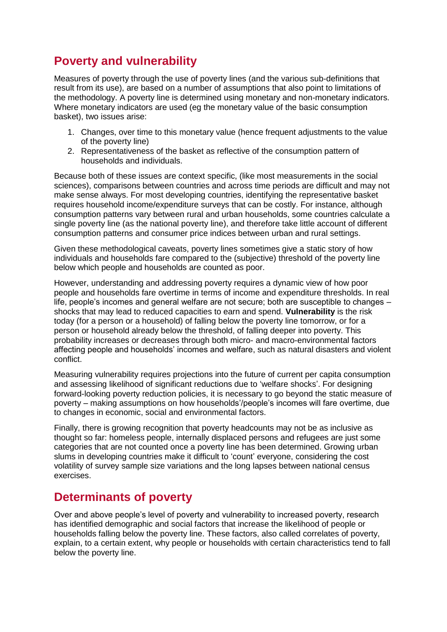# **Poverty and vulnerability**

Measures of poverty through the use of poverty lines (and the various sub-definitions that result from its use), are based on a number of assumptions that also point to limitations of the methodology. A poverty line is determined using monetary and non-monetary indicators. Where monetary indicators are used (eg the monetary value of the basic consumption basket), two issues arise:

- 1. Changes, over time to this monetary value (hence frequent adjustments to the value of the poverty line)
- 2. Representativeness of the basket as reflective of the consumption pattern of households and individuals.

Because both of these issues are context specific, (like most measurements in the social sciences), comparisons between countries and across time periods are difficult and may not make sense always. For most developing countries, identifying the representative basket requires household income/expenditure surveys that can be costly. For instance, although consumption patterns vary between rural and urban households, some countries calculate a single poverty line (as the national poverty line), and therefore take little account of different consumption patterns and consumer price indices between urban and rural settings.

Given these methodological caveats, poverty lines sometimes give a static story of how individuals and households fare compared to the (subjective) threshold of the poverty line below which people and households are counted as poor.

However, understanding and addressing poverty requires a dynamic view of how poor people and households fare overtime in terms of income and expenditure thresholds. In real life, people's incomes and general welfare are not secure; both are susceptible to changes – shocks that may lead to reduced capacities to earn and spend. **Vulnerability** is the risk today (for a person or a household) of falling below the poverty line tomorrow, or for a person or household already below the threshold, of falling deeper into poverty. This probability increases or decreases through both micro- and macro-environmental factors affecting people and households' incomes and welfare, such as natural disasters and violent conflict.

Measuring vulnerability requires projections into the future of current per capita consumption and assessing likelihood of significant reductions due to 'welfare shocks'. For designing forward-looking poverty reduction policies, it is necessary to go beyond the static measure of poverty – making assumptions on how households'/people's incomes will fare overtime, due to changes in economic, social and environmental factors.

Finally, there is growing recognition that poverty headcounts may not be as inclusive as thought so far: homeless people, internally displaced persons and refugees are just some categories that are not counted once a poverty line has been determined. Growing urban slums in developing countries make it difficult to 'count' everyone, considering the cost volatility of survey sample size variations and the long lapses between national census exercises.

## **Determinants of poverty**

Over and above people's level of poverty and vulnerability to increased poverty, research has identified demographic and social factors that increase the likelihood of people or households falling below the poverty line. These factors, also called correlates of poverty, explain, to a certain extent, why people or households with certain characteristics tend to fall below the poverty line.